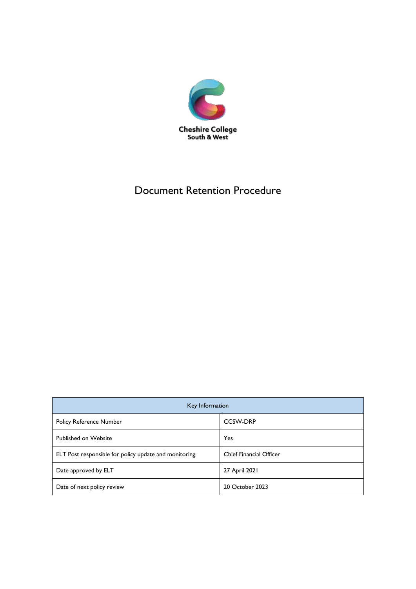

## Document Retention Procedure

| Key Information                                       |                                |  |  |
|-------------------------------------------------------|--------------------------------|--|--|
| <b>Policy Reference Number</b>                        | <b>CCSW-DRP</b>                |  |  |
| <b>Published on Website</b>                           | Yes                            |  |  |
| ELT Post responsible for policy update and monitoring | <b>Chief Financial Officer</b> |  |  |
| Date approved by ELT                                  | 27 April 2021                  |  |  |
| Date of next policy review                            | 20 October 2023                |  |  |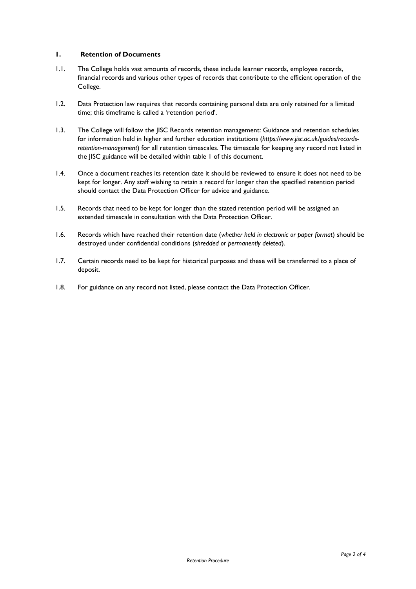## **1. Retention of Documents**

- 1.1. The College holds vast amounts of records, these include learner records, employee records, financial records and various other types of records that contribute to the efficient operation of the College.
- 1.2. Data Protection law requires that records containing personal data are only retained for a limited time; this timeframe is called a 'retention period'.
- 1.3. The College will follow the JISC Records retention management: Guidance and retention schedules for information held in higher and further education institutions (*https://www.jisc.ac.uk/guides/recordsretention-management*) for all retention timescales. The timescale for keeping any record not listed in the JISC guidance will be detailed within table 1 of this document.
- 1.4. Once a document reaches its retention date it should be reviewed to ensure it does not need to be kept for longer. Any staff wishing to retain a record for longer than the specified retention period should contact the Data Protection Officer for advice and guidance.
- 1.5. Records that need to be kept for longer than the stated retention period will be assigned an extended timescale in consultation with the Data Protection Officer.
- 1.6. Records which have reached their retention date (*whether held in electronic or paper format*) should be destroyed under confidential conditions (*shredded or permanently deleted*).
- 1.7. Certain records need to be kept for historical purposes and these will be transferred to a place of deposit.
- 1.8. For guidance on any record not listed, please contact the Data Protection Officer.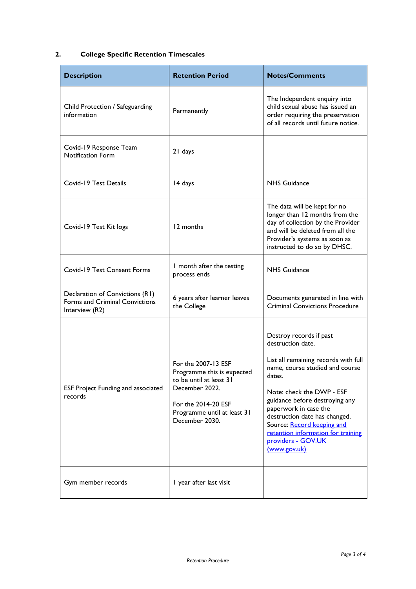## **2. College Specific Retention Timescales**

| <b>Description</b>                                                                  | <b>Retention Period</b>                                                                                                                                                | <b>Notes/Comments</b>                                                                                                                                                                                                                                                                                                                                                |
|-------------------------------------------------------------------------------------|------------------------------------------------------------------------------------------------------------------------------------------------------------------------|----------------------------------------------------------------------------------------------------------------------------------------------------------------------------------------------------------------------------------------------------------------------------------------------------------------------------------------------------------------------|
| Child Protection / Safeguarding<br>information                                      | Permanently                                                                                                                                                            | The Independent enquiry into<br>child sexual abuse has issued an<br>order requiring the preservation<br>of all records until future notice.                                                                                                                                                                                                                          |
| Covid-19 Response Team<br><b>Notification Form</b>                                  | 21 days                                                                                                                                                                |                                                                                                                                                                                                                                                                                                                                                                      |
| Covid-19 Test Details                                                               | 14 days                                                                                                                                                                | <b>NHS Guidance</b>                                                                                                                                                                                                                                                                                                                                                  |
| Covid-19 Test Kit logs                                                              | 12 months                                                                                                                                                              | The data will be kept for no<br>longer than 12 months from the<br>day of collection by the Provider<br>and will be deleted from all the<br>Provider's systems as soon as<br>instructed to do so by DHSC.                                                                                                                                                             |
| <b>Covid-19 Test Consent Forms</b>                                                  | I month after the testing<br>process ends                                                                                                                              | <b>NHS Guidance</b>                                                                                                                                                                                                                                                                                                                                                  |
| Declaration of Convictions (R1)<br>Forms and Criminal Convictions<br>Interview (R2) | 6 years after learner leaves<br>the College                                                                                                                            | Documents generated in line with<br><b>Criminal Convictions Procedure</b>                                                                                                                                                                                                                                                                                            |
| ESF Project Funding and associated<br>records                                       | For the 2007-13 ESF<br>Programme this is expected<br>to be until at least 31<br>December 2022.<br>For the 2014-20 ESF<br>Programme until at least 31<br>December 2030. | Destroy records if past<br>destruction date.<br>List all remaining records with full<br>name, course studied and course<br>dates.<br>Note: check the DWP - ESF<br>guidance before destroying any<br>paperwork in case the<br>destruction date has changed.<br>Source: Record keeping and<br>retention information for training<br>providers - GOV.UK<br>(www.gov.uk) |
| Gym member records                                                                  | I year after last visit                                                                                                                                                |                                                                                                                                                                                                                                                                                                                                                                      |